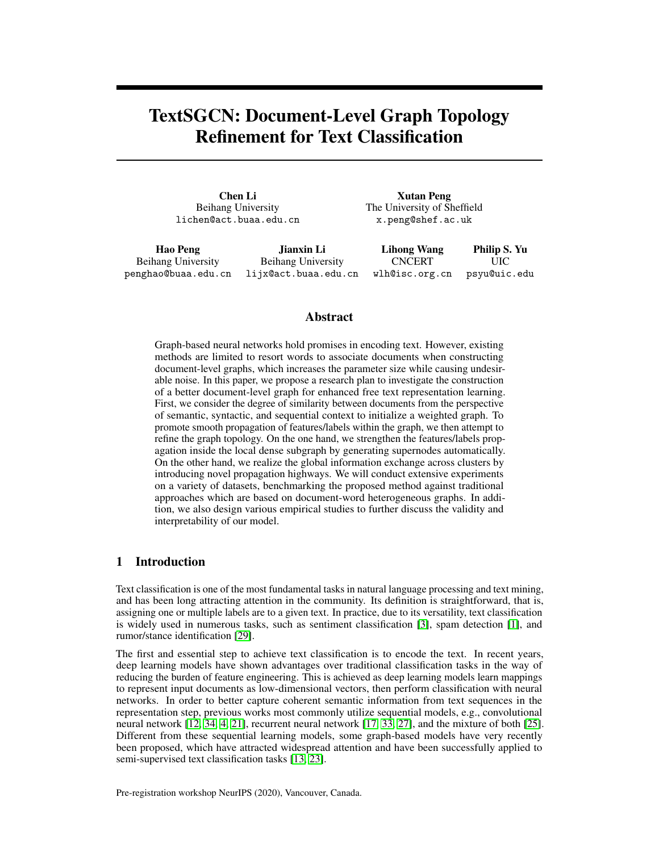# TextSGCN: Document-Level Graph Topology Refinement for Text Classification

Chen Li Beihang University lichen@act.buaa.edu.cn

Hao Peng Beihang University

penghao@buaa.edu.cn lijx@act.buaa.edu.cn Jianxin Li Beihang University

Xutan Peng The University of Sheffield x.peng@shef.ac.uk

Lihong Wang **CNCERT** wlh@isc.org.cn Philip S. Yu UIC psyu@uic.edu

# Abstract

Graph-based neural networks hold promises in encoding text. However, existing methods are limited to resort words to associate documents when constructing document-level graphs, which increases the parameter size while causing undesirable noise. In this paper, we propose a research plan to investigate the construction of a better document-level graph for enhanced free text representation learning. First, we consider the degree of similarity between documents from the perspective of semantic, syntactic, and sequential context to initialize a weighted graph. To promote smooth propagation of features/labels within the graph, we then attempt to refine the graph topology. On the one hand, we strengthen the features/labels propagation inside the local dense subgraph by generating supernodes automatically. On the other hand, we realize the global information exchange across clusters by introducing novel propagation highways. We will conduct extensive experiments on a variety of datasets, benchmarking the proposed method against traditional approaches which are based on document-word heterogeneous graphs. In addition, we also design various empirical studies to further discuss the validity and interpretability of our model.

## 1 Introduction

Text classification is one of the most fundamental tasks in natural language processing and text mining, and has been long attracting attention in the community. Its definition is straightforward, that is, assigning one or multiple labels are to a given text. In practice, due to its versatility, text classification is widely used in numerous tasks, such as sentiment classification [\[3\]](#page-5-0), spam detection [\[1\]](#page-5-1), and rumor/stance identification [\[29\]](#page-7-0).

The first and essential step to achieve text classification is to encode the text. In recent years, deep learning models have shown advantages over traditional classification tasks in the way of reducing the burden of feature engineering. This is achieved as deep learning models learn mappings to represent input documents as low-dimensional vectors, then perform classification with neural networks. In order to better capture coherent semantic information from text sequences in the representation step, previous works most commonly utilize sequential models, e.g., convolutional neural network [\[12,](#page-5-2) [34,](#page-7-1) [4,](#page-5-3) [21\]](#page-6-0), recurrent neural network [\[17,](#page-6-1) [33,](#page-7-2) [27\]](#page-7-3), and the mixture of both [\[25\]](#page-6-2). Different from these sequential learning models, some graph-based models have very recently been proposed, which have attracted widespread attention and have been successfully applied to semi-supervised text classification tasks [\[13,](#page-5-4) [23\]](#page-6-3).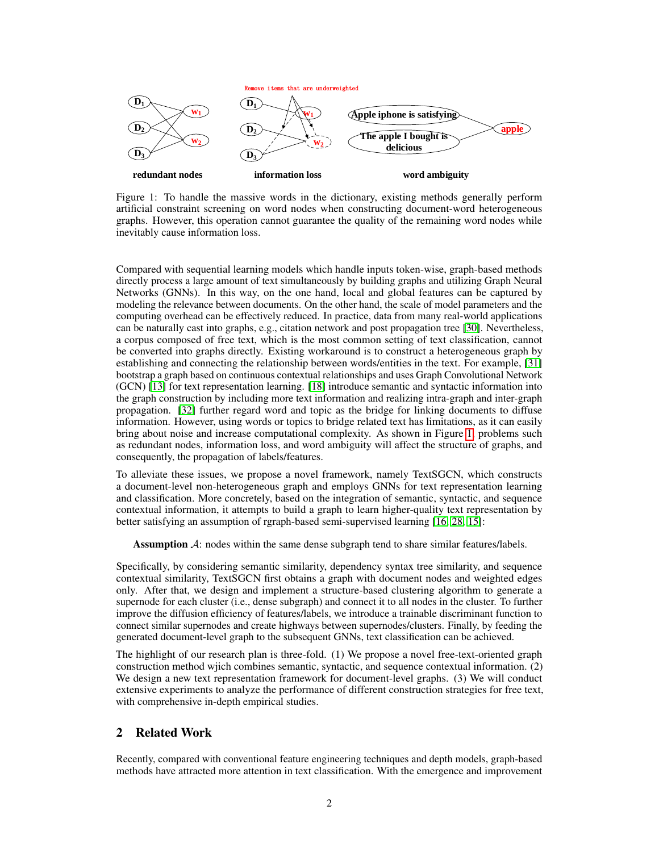<span id="page-1-0"></span>

Figure 1: To handle the massive words in the dictionary, existing methods generally perform artificial constraint screening on word nodes when constructing document-word heterogeneous graphs. However, this operation cannot guarantee the quality of the remaining word nodes while inevitably cause information loss.

Compared with sequential learning models which handle inputs token-wise, graph-based methods directly process a large amount of text simultaneously by building graphs and utilizing Graph Neural Networks (GNNs). In this way, on the one hand, local and global features can be captured by modeling the relevance between documents. On the other hand, the scale of model parameters and the computing overhead can be effectively reduced. In practice, data from many real-world applications can be naturally cast into graphs, e.g., citation network and post propagation tree [\[30\]](#page-7-4). Nevertheless, a corpus composed of free text, which is the most common setting of text classification, cannot be converted into graphs directly. Existing workaround is to construct a heterogeneous graph by establishing and connecting the relationship between words/entities in the text. For example, [\[31\]](#page-7-5) bootstrap a graph based on continuous contextual relationships and uses Graph Convolutional Network (GCN) [\[13\]](#page-5-4) for text representation learning. [\[18\]](#page-6-4) introduce semantic and syntactic information into the graph construction by including more text information and realizing intra-graph and inter-graph propagation. [\[32\]](#page-7-6) further regard word and topic as the bridge for linking documents to diffuse information. However, using words or topics to bridge related text has limitations, as it can easily bring about noise and increase computational complexity. As shown in Figure [1,](#page-1-0) problems such as redundant nodes, information loss, and word ambiguity will affect the structure of graphs, and consequently, the propagation of labels/features.

To alleviate these issues, we propose a novel framework, namely TextSGCN, which constructs a document-level non-heterogeneous graph and employs GNNs for text representation learning and classification. More concretely, based on the integration of semantic, syntactic, and sequence contextual information, it attempts to build a graph to learn higher-quality text representation by better satisfying an assumption of rgraph-based semi-supervised learning [\[16,](#page-6-5) [28,](#page-7-7) [15\]](#page-6-6):

Assumption  $\mathcal{A}$ : nodes within the same dense subgraph tend to share similar features/labels.

Specifically, by considering semantic similarity, dependency syntax tree similarity, and sequence contextual similarity, TextSGCN first obtains a graph with document nodes and weighted edges only. After that, we design and implement a structure-based clustering algorithm to generate a supernode for each cluster (i.e., dense subgraph) and connect it to all nodes in the cluster. To further improve the diffusion efficiency of features/labels, we introduce a trainable discriminant function to connect similar supernodes and create highways between supernodes/clusters. Finally, by feeding the generated document-level graph to the subsequent GNNs, text classification can be achieved.

The highlight of our research plan is three-fold. (1) We propose a novel free-text-oriented graph construction method wjich combines semantic, syntactic, and sequence contextual information. (2) We design a new text representation framework for document-level graphs. (3) We will conduct extensive experiments to analyze the performance of different construction strategies for free text, with comprehensive in-depth empirical studies.

# 2 Related Work

Recently, compared with conventional feature engineering techniques and depth models, graph-based methods have attracted more attention in text classification. With the emergence and improvement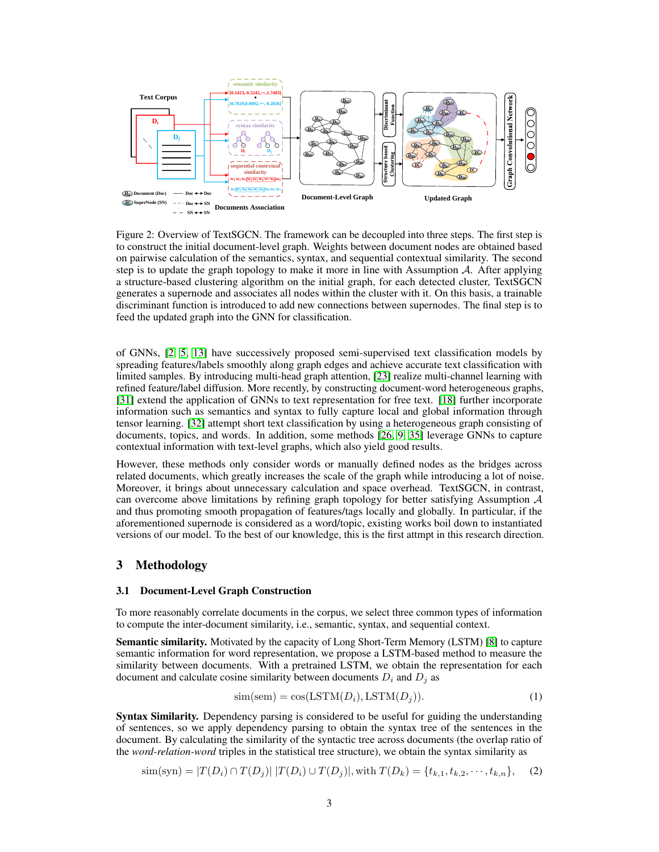

Figure 2: Overview of TextSGCN. The framework can be decoupled into three steps. The first step is to construct the initial document-level graph. Weights between document nodes are obtained based on pairwise calculation of the semantics, syntax, and sequential contextual similarity. The second step is to update the graph topology to make it more in line with Assumption  $\mathcal{A}$ . After applying a structure-based clustering algorithm on the initial graph, for each detected cluster, TextSGCN generates a supernode and associates all nodes within the cluster with it. On this basis, a trainable discriminant function is introduced to add new connections between supernodes. The final step is to feed the updated graph into the GNN for classification.

of GNNs, [\[2,](#page-5-5) [5,](#page-5-6) [13\]](#page-5-4) have successively proposed semi-supervised text classification models by spreading features/labels smoothly along graph edges and achieve accurate text classification with limited samples. By introducing multi-head graph attention, [\[23\]](#page-6-3) realize multi-channel learning with refined feature/label diffusion. More recently, by constructing document-word heterogeneous graphs, [\[31\]](#page-7-5) extend the application of GNNs to text representation for free text. [\[18\]](#page-6-4) further incorporate information such as semantics and syntax to fully capture local and global information through tensor learning. [\[32\]](#page-7-6) attempt short text classification by using a heterogeneous graph consisting of documents, topics, and words. In addition, some methods [\[26,](#page-6-7) [9,](#page-5-7) [35\]](#page-7-8) leverage GNNs to capture contextual information with text-level graphs, which also yield good results.

However, these methods only consider words or manually defined nodes as the bridges across related documents, which greatly increases the scale of the graph while introducing a lot of noise. Moreover, it brings about unnecessary calculation and space overhead. TextSGCN, in contrast, can overcome above limitations by refining graph topology for better satisfying Assumption  $A$ and thus promoting smooth propagation of features/tags locally and globally. In particular, if the aforementioned supernode is considered as a word/topic, existing works boil down to instantiated versions of our model. To the best of our knowledge, this is the first attmpt in this research direction.

# 3 Methodology

## 3.1 Document-Level Graph Construction

To more reasonably correlate documents in the corpus, we select three common types of information to compute the inter-document similarity, i.e., semantic, syntax, and sequential context.

Semantic similarity. Motivated by the capacity of Long Short-Term Memory (LSTM) [\[8\]](#page-5-8) to capture semantic information for word representation, we propose a LSTM-based method to measure the similarity between documents. With a pretrained LSTM, we obtain the representation for each document and calculate cosine similarity between documents  $D_i$  and  $D_j$  as

$$
sim(sem) = cos(LSTM(Di), LSTM(Dj)).
$$
\n(1)

Syntax Similarity. Dependency parsing is considered to be useful for guiding the understanding of sentences, so we apply dependency parsing to obtain the syntax tree of the sentences in the document. By calculating the similarity of the syntactic tree across documents (the overlap ratio of the *word-relation-word* triples in the statistical tree structure), we obtain the syntax similarity as

$$
\text{sim}(\text{syn}) = |T(D_i) \cap T(D_j)| |T(D_i) \cup T(D_j)|, \text{with } T(D_k) = \{t_{k,1}, t_{k,2}, \cdots, t_{k,n}\}, \quad (2)
$$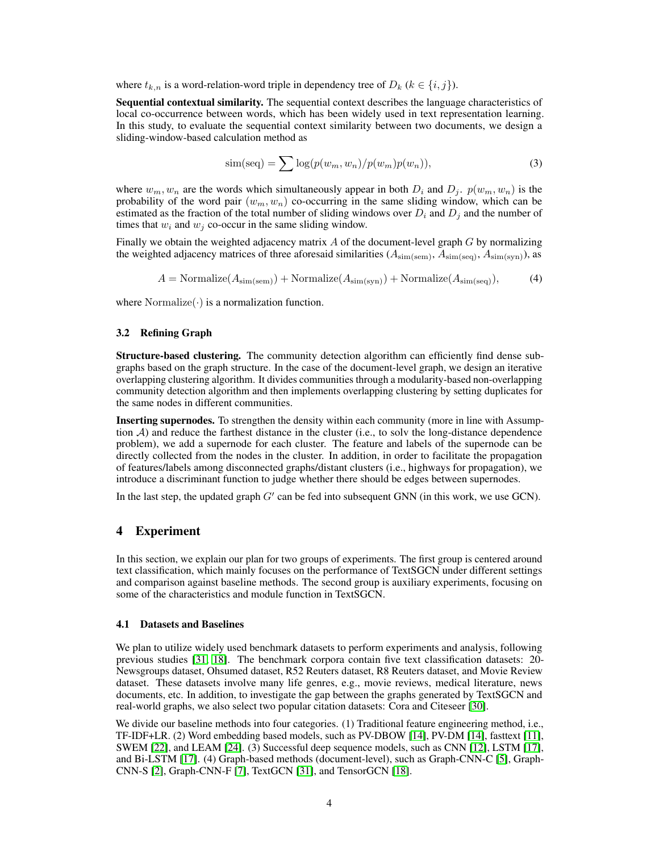where  $t_{k,n}$  is a word-relation-word triple in dependency tree of  $D_k$  ( $k \in \{i, j\}$ ).

Sequential contextual similarity. The sequential context describes the language characteristics of local co-occurrence between words, which has been widely used in text representation learning. In this study, to evaluate the sequential context similarity between two documents, we design a sliding-window-based calculation method as

$$
\text{sim}(\text{seq}) = \sum \log(p(w_m, w_n)/p(w_m)p(w_n)),\tag{3}
$$

where  $w_m, w_n$  are the words which simultaneously appear in both  $D_i$  and  $D_j$ .  $p(w_m, w_n)$  is the probability of the word pair  $(w_m, w_n)$  co-occurring in the same sliding window, which can be estimated as the fraction of the total number of sliding windows over  $D_i$  and  $D_j$  and the number of times that  $w_i$  and  $w_j$  co-occur in the same sliding window.

Finally we obtain the weighted adjacency matrix  $A$  of the document-level graph  $G$  by normalizing the weighted adjacency matrices of three aforesaid similarities ( $A_{sim(sem)}$ ,  $A_{sim(seq)}$ ,  $A_{sim(syn)}$ ), as

 $A = \text{Normalize}(A_{\text{sim(sem)}}) + \text{Normalize}(A_{\text{sim(svn)}}) + \text{Normalize}(A_{\text{sim(seq)}}),$  (4)

where  $\text{Normalize}(\cdot)$  is a normalization function.

### 3.2 Refining Graph

Structure-based clustering. The community detection algorithm can efficiently find dense subgraphs based on the graph structure. In the case of the document-level graph, we design an iterative overlapping clustering algorithm. It divides communities through a modularity-based non-overlapping community detection algorithm and then implements overlapping clustering by setting duplicates for the same nodes in different communities.

Inserting supernodes. To strengthen the density within each community (more in line with Assumption  $A$ ) and reduce the farthest distance in the cluster (i.e., to solv the long-distance dependence problem), we add a supernode for each cluster. The feature and labels of the supernode can be directly collected from the nodes in the cluster. In addition, in order to facilitate the propagation of features/labels among disconnected graphs/distant clusters (i.e., highways for propagation), we introduce a discriminant function to judge whether there should be edges between supernodes.

In the last step, the updated graph  $G'$  can be fed into subsequent GNN (in this work, we use GCN).

## 4 Experiment

In this section, we explain our plan for two groups of experiments. The first group is centered around text classification, which mainly focuses on the performance of TextSGCN under different settings and comparison against baseline methods. The second group is auxiliary experiments, focusing on some of the characteristics and module function in TextSGCN.

#### 4.1 Datasets and Baselines

We plan to utilize widely used benchmark datasets to perform experiments and analysis, following previous studies [\[31,](#page-7-5) [18\]](#page-6-4). The benchmark corpora contain five text classification datasets: 20- Newsgroups dataset, Ohsumed dataset, R52 Reuters dataset, R8 Reuters dataset, and Movie Review dataset. These datasets involve many life genres, e.g., movie reviews, medical literature, news documents, etc. In addition, to investigate the gap between the graphs generated by TextSGCN and real-world graphs, we also select two popular citation datasets: Cora and Citeseer [\[30\]](#page-7-4).

We divide our baseline methods into four categories. (1) Traditional feature engineering method, i.e., TF-IDF+LR. (2) Word embedding based models, such as PV-DBOW [\[14\]](#page-6-8), PV-DM [\[14\]](#page-6-8), fasttext [\[11\]](#page-5-9), SWEM [\[22\]](#page-6-9), and LEAM [\[24\]](#page-6-10). (3) Successful deep sequence models, such as CNN [\[12\]](#page-5-2), LSTM [\[17\]](#page-6-1), and Bi-LSTM [\[17\]](#page-6-1). (4) Graph-based methods (document-level), such as Graph-CNN-C [\[5\]](#page-5-6), Graph-CNN-S [\[2\]](#page-5-5), Graph-CNN-F [\[7\]](#page-5-10), TextGCN [\[31\]](#page-7-5), and TensorGCN [\[18\]](#page-6-4).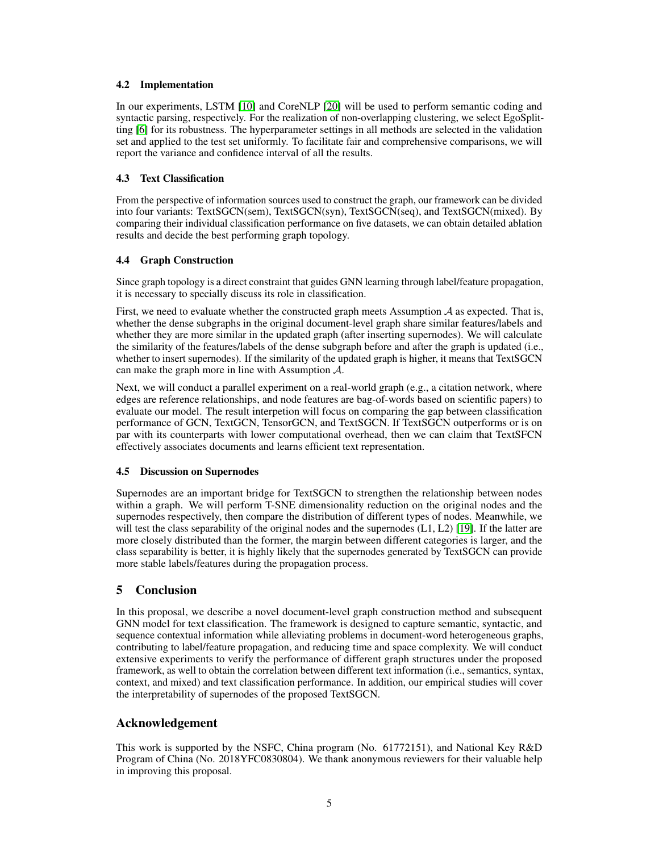## 4.2 Implementation

In our experiments, LSTM [\[10\]](#page-5-11) and CoreNLP [\[20\]](#page-6-11) will be used to perform semantic coding and syntactic parsing, respectively. For the realization of non-overlapping clustering, we select EgoSplitting [\[6\]](#page-5-12) for its robustness. The hyperparameter settings in all methods are selected in the validation set and applied to the test set uniformly. To facilitate fair and comprehensive comparisons, we will report the variance and confidence interval of all the results.

## 4.3 Text Classification

From the perspective of information sources used to construct the graph, our framework can be divided into four variants: TextSGCN(sem), TextSGCN(syn), TextSGCN(seq), and TextSGCN(mixed). By comparing their individual classification performance on five datasets, we can obtain detailed ablation results and decide the best performing graph topology.

# 4.4 Graph Construction

Since graph topology is a direct constraint that guides GNN learning through label/feature propagation, it is necessary to specially discuss its role in classification.

First, we need to evaluate whether the constructed graph meets Assumption  $A$  as expected. That is, whether the dense subgraphs in the original document-level graph share similar features/labels and whether they are more similar in the updated graph (after inserting supernodes). We will calculate the similarity of the features/labels of the dense subgraph before and after the graph is updated (i.e., whether to insert supernodes). If the similarity of the updated graph is higher, it means that TextSGCN can make the graph more in line with Assumption A.

Next, we will conduct a parallel experiment on a real-world graph (e.g., a citation network, where edges are reference relationships, and node features are bag-of-words based on scientific papers) to evaluate our model. The result interpetion will focus on comparing the gap between classification performance of GCN, TextGCN, TensorGCN, and TextSGCN. If TextSGCN outperforms or is on par with its counterparts with lower computational overhead, then we can claim that TextSFCN effectively associates documents and learns efficient text representation.

# 4.5 Discussion on Supernodes

Supernodes are an important bridge for TextSGCN to strengthen the relationship between nodes within a graph. We will perform T-SNE dimensionality reduction on the original nodes and the supernodes respectively, then compare the distribution of different types of nodes. Meanwhile, we will test the class separability of the original nodes and the supernodes (L1, L2) [\[19\]](#page-6-12). If the latter are more closely distributed than the former, the margin between different categories is larger, and the class separability is better, it is highly likely that the supernodes generated by TextSGCN can provide more stable labels/features during the propagation process.

# 5 Conclusion

In this proposal, we describe a novel document-level graph construction method and subsequent GNN model for text classification. The framework is designed to capture semantic, syntactic, and sequence contextual information while alleviating problems in document-word heterogeneous graphs, contributing to label/feature propagation, and reducing time and space complexity. We will conduct extensive experiments to verify the performance of different graph structures under the proposed framework, as well to obtain the correlation between different text information (i.e., semantics, syntax, context, and mixed) and text classification performance. In addition, our empirical studies will cover the interpretability of supernodes of the proposed TextSGCN.

# Acknowledgement

This work is supported by the NSFC, China program (No. 61772151), and National Key R&D Program of China (No. 2018YFC0830804). We thank anonymous reviewers for their valuable help in improving this proposal.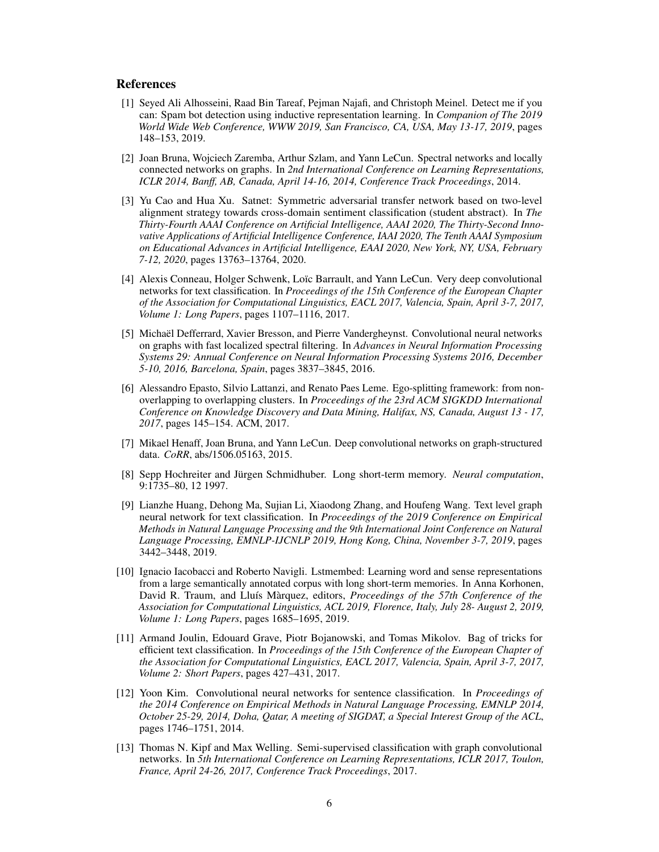## References

- <span id="page-5-1"></span>[1] Seyed Ali Alhosseini, Raad Bin Tareaf, Pejman Najafi, and Christoph Meinel. Detect me if you can: Spam bot detection using inductive representation learning. In *Companion of The 2019 World Wide Web Conference, WWW 2019, San Francisco, CA, USA, May 13-17, 2019*, pages 148–153, 2019.
- <span id="page-5-5"></span>[2] Joan Bruna, Wojciech Zaremba, Arthur Szlam, and Yann LeCun. Spectral networks and locally connected networks on graphs. In *2nd International Conference on Learning Representations, ICLR 2014, Banff, AB, Canada, April 14-16, 2014, Conference Track Proceedings*, 2014.
- <span id="page-5-0"></span>[3] Yu Cao and Hua Xu. Satnet: Symmetric adversarial transfer network based on two-level alignment strategy towards cross-domain sentiment classification (student abstract). In *The Thirty-Fourth AAAI Conference on Artificial Intelligence, AAAI 2020, The Thirty-Second Innovative Applications of Artificial Intelligence Conference, IAAI 2020, The Tenth AAAI Symposium on Educational Advances in Artificial Intelligence, EAAI 2020, New York, NY, USA, February 7-12, 2020*, pages 13763–13764, 2020.
- <span id="page-5-3"></span>[4] Alexis Conneau, Holger Schwenk, Loïc Barrault, and Yann LeCun. Very deep convolutional networks for text classification. In *Proceedings of the 15th Conference of the European Chapter of the Association for Computational Linguistics, EACL 2017, Valencia, Spain, April 3-7, 2017, Volume 1: Long Papers*, pages 1107–1116, 2017.
- <span id="page-5-6"></span>[5] Michaël Defferrard, Xavier Bresson, and Pierre Vandergheynst. Convolutional neural networks on graphs with fast localized spectral filtering. In *Advances in Neural Information Processing Systems 29: Annual Conference on Neural Information Processing Systems 2016, December 5-10, 2016, Barcelona, Spain*, pages 3837–3845, 2016.
- <span id="page-5-12"></span>[6] Alessandro Epasto, Silvio Lattanzi, and Renato Paes Leme. Ego-splitting framework: from nonoverlapping to overlapping clusters. In *Proceedings of the 23rd ACM SIGKDD International Conference on Knowledge Discovery and Data Mining, Halifax, NS, Canada, August 13 - 17, 2017*, pages 145–154. ACM, 2017.
- <span id="page-5-10"></span>[7] Mikael Henaff, Joan Bruna, and Yann LeCun. Deep convolutional networks on graph-structured data. *CoRR*, abs/1506.05163, 2015.
- <span id="page-5-8"></span>[8] Sepp Hochreiter and Jürgen Schmidhuber. Long short-term memory. *Neural computation*, 9:1735–80, 12 1997.
- <span id="page-5-7"></span>[9] Lianzhe Huang, Dehong Ma, Sujian Li, Xiaodong Zhang, and Houfeng Wang. Text level graph neural network for text classification. In *Proceedings of the 2019 Conference on Empirical Methods in Natural Language Processing and the 9th International Joint Conference on Natural Language Processing, EMNLP-IJCNLP 2019, Hong Kong, China, November 3-7, 2019*, pages 3442–3448, 2019.
- <span id="page-5-11"></span>[10] Ignacio Iacobacci and Roberto Navigli. Lstmembed: Learning word and sense representations from a large semantically annotated corpus with long short-term memories. In Anna Korhonen, David R. Traum, and Lluís Màrquez, editors, *Proceedings of the 57th Conference of the Association for Computational Linguistics, ACL 2019, Florence, Italy, July 28- August 2, 2019, Volume 1: Long Papers*, pages 1685–1695, 2019.
- <span id="page-5-9"></span>[11] Armand Joulin, Edouard Grave, Piotr Bojanowski, and Tomas Mikolov. Bag of tricks for efficient text classification. In *Proceedings of the 15th Conference of the European Chapter of the Association for Computational Linguistics, EACL 2017, Valencia, Spain, April 3-7, 2017, Volume 2: Short Papers*, pages 427–431, 2017.
- <span id="page-5-2"></span>[12] Yoon Kim. Convolutional neural networks for sentence classification. In *Proceedings of the 2014 Conference on Empirical Methods in Natural Language Processing, EMNLP 2014, October 25-29, 2014, Doha, Qatar, A meeting of SIGDAT, a Special Interest Group of the ACL*, pages 1746–1751, 2014.
- <span id="page-5-4"></span>[13] Thomas N. Kipf and Max Welling. Semi-supervised classification with graph convolutional networks. In *5th International Conference on Learning Representations, ICLR 2017, Toulon, France, April 24-26, 2017, Conference Track Proceedings*, 2017.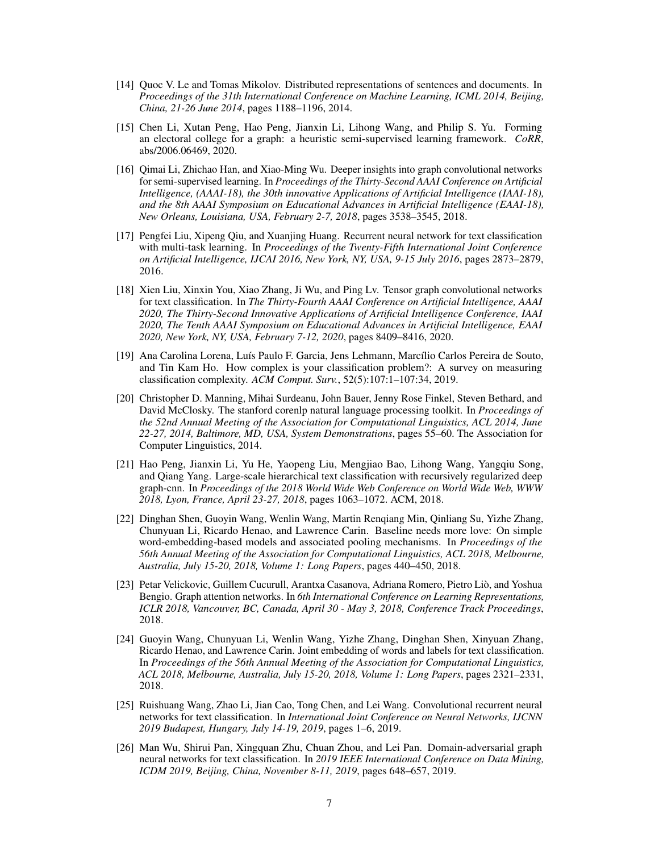- <span id="page-6-8"></span>[14] Quoc V. Le and Tomas Mikolov. Distributed representations of sentences and documents. In *Proceedings of the 31th International Conference on Machine Learning, ICML 2014, Beijing, China, 21-26 June 2014*, pages 1188–1196, 2014.
- <span id="page-6-6"></span>[15] Chen Li, Xutan Peng, Hao Peng, Jianxin Li, Lihong Wang, and Philip S. Yu. Forming an electoral college for a graph: a heuristic semi-supervised learning framework. *CoRR*, abs/2006.06469, 2020.
- <span id="page-6-5"></span>[16] Qimai Li, Zhichao Han, and Xiao-Ming Wu. Deeper insights into graph convolutional networks for semi-supervised learning. In *Proceedings of the Thirty-Second AAAI Conference on Artificial Intelligence, (AAAI-18), the 30th innovative Applications of Artificial Intelligence (IAAI-18), and the 8th AAAI Symposium on Educational Advances in Artificial Intelligence (EAAI-18), New Orleans, Louisiana, USA, February 2-7, 2018*, pages 3538–3545, 2018.
- <span id="page-6-1"></span>[17] Pengfei Liu, Xipeng Qiu, and Xuanjing Huang. Recurrent neural network for text classification with multi-task learning. In *Proceedings of the Twenty-Fifth International Joint Conference on Artificial Intelligence, IJCAI 2016, New York, NY, USA, 9-15 July 2016*, pages 2873–2879, 2016.
- <span id="page-6-4"></span>[18] Xien Liu, Xinxin You, Xiao Zhang, Ji Wu, and Ping Lv. Tensor graph convolutional networks for text classification. In *The Thirty-Fourth AAAI Conference on Artificial Intelligence, AAAI 2020, The Thirty-Second Innovative Applications of Artificial Intelligence Conference, IAAI 2020, The Tenth AAAI Symposium on Educational Advances in Artificial Intelligence, EAAI 2020, New York, NY, USA, February 7-12, 2020*, pages 8409–8416, 2020.
- <span id="page-6-12"></span>[19] Ana Carolina Lorena, Luís Paulo F. Garcia, Jens Lehmann, Marcílio Carlos Pereira de Souto, and Tin Kam Ho. How complex is your classification problem?: A survey on measuring classification complexity. *ACM Comput. Surv.*, 52(5):107:1–107:34, 2019.
- <span id="page-6-11"></span>[20] Christopher D. Manning, Mihai Surdeanu, John Bauer, Jenny Rose Finkel, Steven Bethard, and David McClosky. The stanford corenlp natural language processing toolkit. In *Proceedings of the 52nd Annual Meeting of the Association for Computational Linguistics, ACL 2014, June 22-27, 2014, Baltimore, MD, USA, System Demonstrations*, pages 55–60. The Association for Computer Linguistics, 2014.
- <span id="page-6-0"></span>[21] Hao Peng, Jianxin Li, Yu He, Yaopeng Liu, Mengjiao Bao, Lihong Wang, Yangqiu Song, and Qiang Yang. Large-scale hierarchical text classification with recursively regularized deep graph-cnn. In *Proceedings of the 2018 World Wide Web Conference on World Wide Web, WWW 2018, Lyon, France, April 23-27, 2018*, pages 1063–1072. ACM, 2018.
- <span id="page-6-9"></span>[22] Dinghan Shen, Guoyin Wang, Wenlin Wang, Martin Renqiang Min, Qinliang Su, Yizhe Zhang, Chunyuan Li, Ricardo Henao, and Lawrence Carin. Baseline needs more love: On simple word-embedding-based models and associated pooling mechanisms. In *Proceedings of the 56th Annual Meeting of the Association for Computational Linguistics, ACL 2018, Melbourne, Australia, July 15-20, 2018, Volume 1: Long Papers*, pages 440–450, 2018.
- <span id="page-6-3"></span>[23] Petar Velickovic, Guillem Cucurull, Arantxa Casanova, Adriana Romero, Pietro Liò, and Yoshua Bengio. Graph attention networks. In *6th International Conference on Learning Representations, ICLR 2018, Vancouver, BC, Canada, April 30 - May 3, 2018, Conference Track Proceedings*, 2018.
- <span id="page-6-10"></span>[24] Guoyin Wang, Chunyuan Li, Wenlin Wang, Yizhe Zhang, Dinghan Shen, Xinyuan Zhang, Ricardo Henao, and Lawrence Carin. Joint embedding of words and labels for text classification. In *Proceedings of the 56th Annual Meeting of the Association for Computational Linguistics, ACL 2018, Melbourne, Australia, July 15-20, 2018, Volume 1: Long Papers*, pages 2321–2331, 2018.
- <span id="page-6-2"></span>[25] Ruishuang Wang, Zhao Li, Jian Cao, Tong Chen, and Lei Wang. Convolutional recurrent neural networks for text classification. In *International Joint Conference on Neural Networks, IJCNN 2019 Budapest, Hungary, July 14-19, 2019*, pages 1–6, 2019.
- <span id="page-6-7"></span>[26] Man Wu, Shirui Pan, Xingquan Zhu, Chuan Zhou, and Lei Pan. Domain-adversarial graph neural networks for text classification. In *2019 IEEE International Conference on Data Mining, ICDM 2019, Beijing, China, November 8-11, 2019*, pages 648–657, 2019.